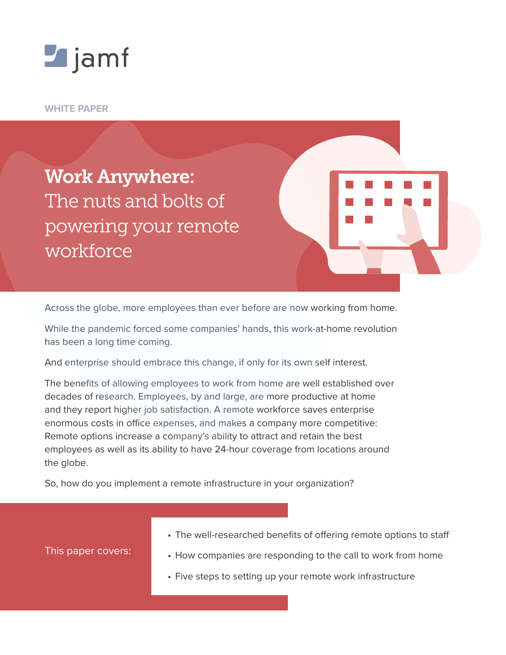

**WHITE PAPER**

Work Anywhere: The nuts and bolts of powering your remote workforce

Across the globe, more employees than ever before are now working from home.

While the pandemic forced some companies' hands, this work-at-home revolution has been a long time coming.

And enterprise should embrace this change, if only for its own self interest.

The benefits of allowing employees to work from home are well established over decades of research. Employees, by and large, are more productive at home and they report higher job satisfaction. A remote workforce saves enterprise enormous costs in office expenses, and makes a company more competitive: Remote options increase a company's ability to attract and retain the best employees as well as its ability to have 24-hour coverage from locations around the globe.

So, how do you implement a remote infrastructure in your organization?

• The well-researched benefits of offering remote options to staff

This paper covers:

- How companies are responding to the call to work from home
- Five steps to setting up your remote work infrastructure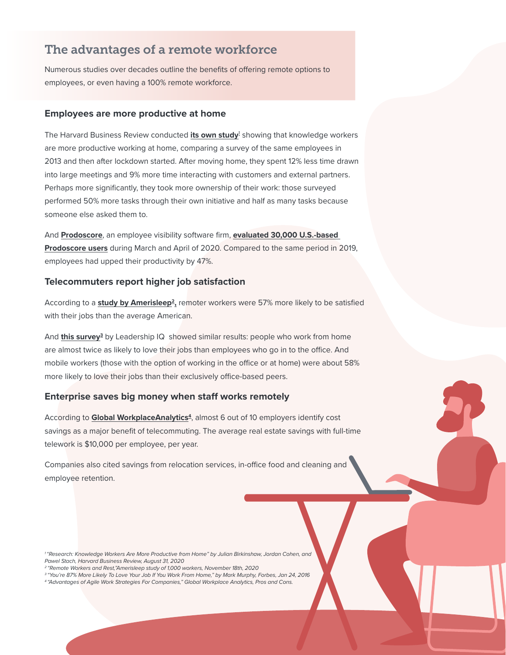## The advantages of a remote workforce

Numerous studies over decades outline the benefits of offering remote options to employees, or even having a 100% remote workforce.

### **Employees are more productive at home**

The Harvard Business Review conducted <mark>[its own study](https://hbr.org/2020/08/research-knowledge-workers-are-more-productive-from-home)</mark><sup>1</sup> showing that knowledge workers are more productive working at home, comparing a survey of the same employees in 2013 and then after lockdown started. After moving home, they spent 12% less time drawn into large meetings and 9% more time interacting with customers and external partners. Perhaps more significantly, they took more ownership of their work: those surveyed performed 50% more tasks through their own initiative and half as many tasks because someone else asked them to.

And **[Prodoscore](https://www.prodoscore.com)**, an employee visibility software firm, **[evaluated 30,000 U.S.-based](https://www.businesswire.com/news/home/20200519005295/en/)  [Prodoscore users](https://www.businesswire.com/news/home/20200519005295/en/)** during March and April of 2020. Compared to the same period in 2019, employees had upped their productivity by 47%.

## **Telecommuters report higher job satisfaction**

According to a **study by Amerisleep<sup>2</sup>**, remoter workers were 57% more likely to be satisfied with their jobs than the average American.

And **[this survey](https://www.forbes.com/sites/markmurphy/2016/01/24/youre-87-more-likely-to-love-your-job-if-you-work-from-home-i-e-telecommuting/?sh=6c60a4d463d6)3** by Leadership IQ showed similar results: people who work from home are almost twice as likely to love their jobs than employees who go in to the office. And mobile workers (those with the option of working in the office or at home) were about 58% more likely to love their jobs than their exclusively office-based peers.

## **Enterprise saves big money when staff works remotely**

According to **Global WorkplaceAnalytics<sup>4</sup>**, almost 6 out of 10 employers identify cost savings as a major benefit of telecommuting. The average real estate savings with full-time telework is \$10,000 per employee, per year.

Companies also cited savings from relocation services, in-office food and cleaning and employee retention.

- *3 "You're 87% More Likely To Love Your Job If You Work From Home," by Mark Murphy, Forbes, Jan 24, 2016*
- *4 "Advantages of Agile Work Strategies For Companies," Global Workplace Analytics, Pros and Cons.*

*<sup>1 &</sup>quot;Research: Knowledge Workers Are More Productive from Home" by Julian Birkinshaw, Jordan Cohen, and Pawel Stach, Harvard Business Review, August 31, 2020*

*<sup>2 &</sup>quot;Remote Workers and Rest,"Amerisleep study of 1,000 workers, November 18th, 2020*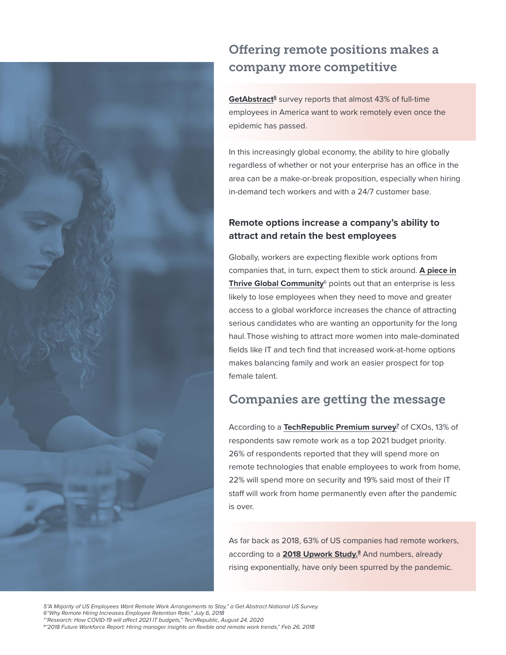

# Offering remote positions makes a company more competitive

**[GetAbstract](https://journal.getabstract.com/wp-content/uploads/2020/04/ga_remote_survey_2020_compressed.pdf )5** survey reports that almost 43% of full-time employees in America want to work remotely even once the epidemic has passed.

In this increasingly global economy, the ability to hire globally regardless of whether or not your enterprise has an office in the area can be a make-or-break proposition, especially when hiring in-demand tech workers and with a 24/7 customer base.

## **Remote options increase a company's ability to attract and retain the best employees**

Globally, workers are expecting flexible work options from companies that, in turn, expect them to stick around. **[A piece in](https://thriveglobal.com/stories/why-remote-hiring-increases-employee-retention-rate/)  [Thrive Global Community](https://thriveglobal.com/stories/why-remote-hiring-increases-employee-retention-rate/)**<sup>6</sup> points out that an enterprise is less likely to lose employees when they need to move and greater access to a global workforce increases the chance of attracting serious candidates who are wanting an opportunity for the long haul.Those wishing to attract more women into male-dominated fields like IT and tech find that increased work-at-home options makes balancing family and work an easier prospect for top female talent.

# Companies are getting the message

According to a **[TechRepublic Premium survey](https://www.techrepublic.com/resource-library/whitepapers/2021-it-budget-research-report-covid-19-s-impact-on-projects-and-priorities/)<sup>7</sup>** of CXOs, 13% of respondents saw remote work as a top 2021 budget priority. 26% of respondents reported that they will spend more on remote technologies that enable employees to work from home, 22% will spend more on security and 19% said most of their IT staff will work from home permanently even after the pandemic is over.

As far back as 2018, 63% of US companies had remote workers, according to a **[2018 Upwork Study.](https://www.slideshare.net/upwork/2018-future-workforce-report-hiring-manager-insights-on-flexible-and-remote-work-trends/1)8** And numbers, already rising exponentially, have only been spurred by the pandemic.

*5"A Majority of US Employees Want Remote Work Arrangements to Stay," a Get Abstract National US Survey. 6"Why Remote Hiring Increases Employee Retention Rate," July 6, 2018 7 "Research: How COVID-19 will affect 2021 IT budgets," TechRepublic, August 24, 2020 8 "2018 Future Workforce Report: Hiring manager insights on flexible and remote work trends," Feb 26, 2018*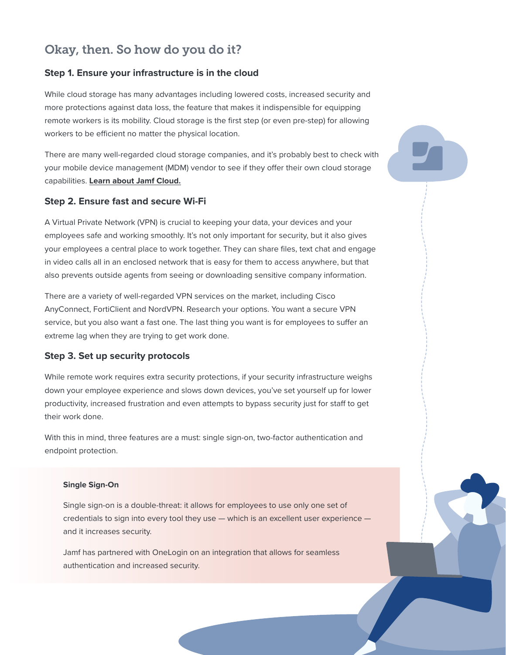## Okay, then. So how do you do it?

## **Step 1. Ensure your infrastructure is in the cloud**

While cloud storage has many advantages including lowered costs, increased security and more protections against data loss, the feature that makes it indispensible for equipping remote workers is its mobility. Cloud storage is the first step (or even pre-step) for allowing workers to be efficient no matter the physical location.

There are many well-regarded cloud storage companies, and it's probably best to check with your mobile device management (MDM) vendor to see if they offer their own cloud storage capabilities. **[Learn about Jamf Cloud.](https://www.jamf.com/products/jamf-cloud/)**

### **Step 2. Ensure fast and secure Wi-Fi**

A Virtual Private Network (VPN) is crucial to keeping your data, your devices and your employees safe and working smoothly. It's not only important for security, but it also gives your employees a central place to work together. They can share files, text chat and engage in video calls all in an enclosed network that is easy for them to access anywhere, but that also prevents outside agents from seeing or downloading sensitive company information.

There are a variety of well-regarded VPN services on the market, including Cisco AnyConnect, FortiClient and NordVPN. Research your options. You want a secure VPN service, but you also want a fast one. The last thing you want is for employees to suffer an extreme lag when they are trying to get work done.

### **Step 3. Set up security protocols**

While remote work requires extra security protections, if your security infrastructure weighs down your employee experience and slows down devices, you've set yourself up for lower productivity, increased frustration and even attempts to bypass security just for staff to get their work done.

With this in mind, three features are a must: single sign-on, two-factor authentication and endpoint protection.

#### **Single Sign-On**

Single sign-on is a double-threat: it allows for employees to use only one set of credentials to sign into every tool they use — which is an excellent user experience and it increases security.

Jamf has partnered with OneLogin on an integration that allows for seamless authentication and increased security.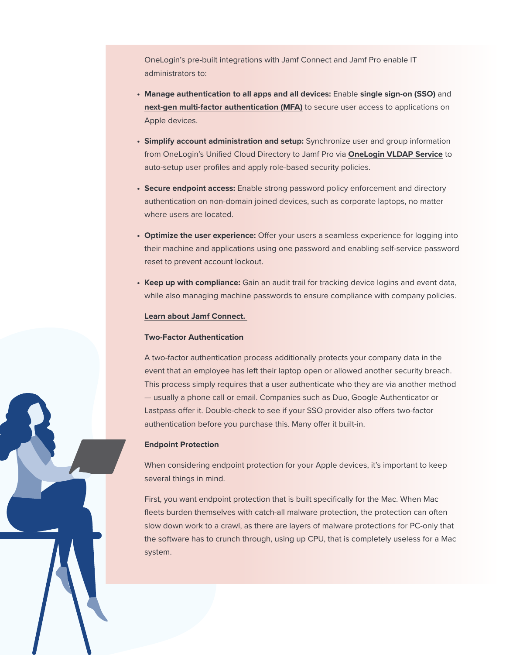OneLogin's pre-built integrations with Jamf Connect and Jamf Pro enable IT administrators to:

- **• Manage authentication to all apps and all devices:** Enable **[single sign-on \(SSO\)](https://www.onelogin.com/product/sso)** and **[next-gen multi-factor authentication \(MFA\)](https://www.onelogin.com/product/multi-factor-authentication)** to secure user access to applications on Apple devices.
- **• Simplify account administration and setup:** Synchronize user and group information from OneLogin's Unified Cloud Directory to Jamf Pro via **[OneLogin VLDAP Service](https://www.onelogin.com/product/vldap)** to auto-setup user profiles and apply role-based security policies.
- **• Secure endpoint access:** Enable strong password policy enforcement and directory authentication on non-domain joined devices, such as corporate laptops, no matter where users are located.
- **• Optimize the user experience:** Offer your users a seamless experience for logging into their machine and applications using one password and enabling self-service password reset to prevent account lockout.
- **• Keep up with compliance:** Gain an audit trail for tracking device logins and event data, while also managing machine passwords to ensure compliance with company policies.

#### **[Learn about Jamf Connect.](https://www.jamf.com/products/jamf-connect/)**

#### **Two-Factor Authentication**

A two-factor authentication process additionally protects your company data in the event that an employee has left their laptop open or allowed another security breach. This process simply requires that a user authenticate who they are via another method — usually a phone call or email. Companies such as Duo, Google Authenticator or Lastpass offer it. Double-check to see if your SSO provider also offers two-factor authentication before you purchase this. Many offer it built-in.

#### **Endpoint Protection**

When considering endpoint protection for your Apple devices, it's important to keep several things in mind.

First, you want endpoint protection that is built specifically for the Mac. When Mac fleets burden themselves with catch-all malware protection, the protection can often slow down work to a crawl, as there are layers of malware protections for PC-only that the software has to crunch through, using up CPU, that is completely useless for a Mac system.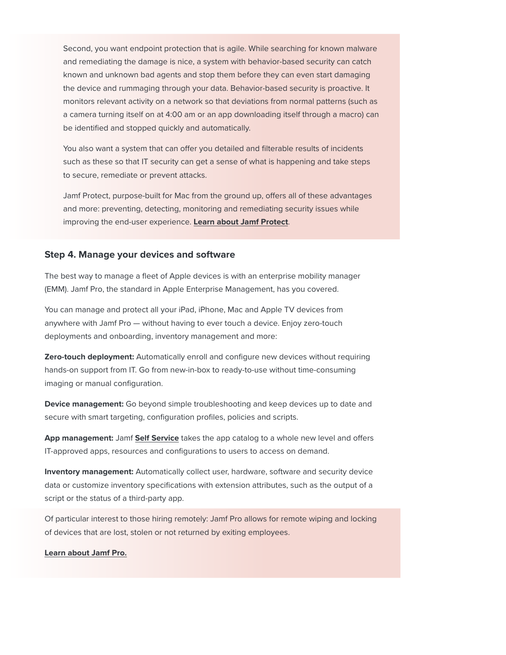Second, you want endpoint protection that is agile. While searching for known malware and remediating the damage is nice, a system with behavior-based security can catch known and unknown bad agents and stop them before they can even start damaging the device and rummaging through your data. Behavior-based security is proactive. It monitors relevant activity on a network so that deviations from normal patterns (such as a camera turning itself on at 4:00 am or an app downloading itself through a macro) can be identified and stopped quickly and automatically.

You also want a system that can offer you detailed and filterable results of incidents such as these so that IT security can get a sense of what is happening and take steps to secure, remediate or prevent attacks.

Jamf Protect, purpose-built for Mac from the ground up, offers all of these advantages and more: preventing, detecting, monitoring and remediating security issues while improving the end-user experience. **[Learn about Jamf Protect](http://jamf.com/products/jamf-protect)**.

### **Step 4. Manage your devices and software**

The best way to manage a fleet of Apple devices is with an enterprise mobility manager (EMM). Jamf Pro, the standard in Apple Enterprise Management, has you covered.

You can manage and protect all your iPad, iPhone, Mac and Apple TV devices from anywhere with Jamf Pro — without having to ever touch a device. Enjoy zero-touch deployments and onboarding, inventory management and more:

**Zero-touch deployment:** Automatically enroll and configure new devices without requiring hands-on support from IT. Go from new-in-box to ready-to-use without time-consuming imaging or manual configuration.

**Device management:** Go beyond simple troubleshooting and keep devices up to date and secure with smart targeting, configuration profiles, policies and scripts.

**App management:** Jamf **[Self Service](https://www.jamf.com/products/jamf-pro/self-service/)** takes the app catalog to a whole new level and offers IT-approved apps, resources and configurations to users to access on demand.

**Inventory management:** Automatically collect user, hardware, software and security device data or customize inventory specifications with extension attributes, such as the output of a script or the status of a third-party app.

Of particular interest to those hiring remotely: Jamf Pro allows for remote wiping and locking of devices that are lost, stolen or not returned by exiting employees.

#### **[Learn about Jamf Pro.](http://jamf.com/products/jamf-pro)**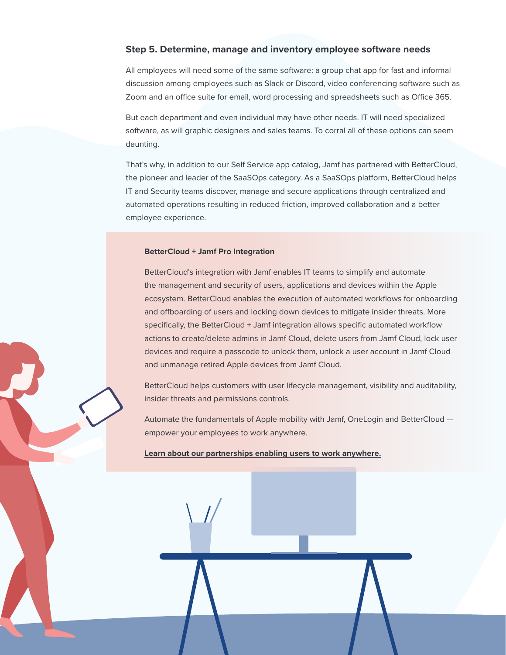### **Step 5. Determine, manage and inventory employee software needs**

All employees will need some of the same software: a group chat app for fast and informal discussion among employees such as Slack or Discord, video conferencing software such as Zoom and an office suite for email, word processing and spreadsheets such as Office 365.

But each department and even individual may have other needs. IT will need specialized software, as will graphic designers and sales teams. To corral all of these options can seem daunting.

That's why, in addition to our Self Service app catalog, Jamf has partnered with BetterCloud, the pioneer and leader of the SaaSOps category. As a SaaSOps platform, BetterCloud helps IT and Security teams discover, manage and secure applications through centralized and automated operations resulting in reduced friction, improved collaboration and a better employee experience.

#### **BetterCloud + Jamf Pro Integration**

BetterCloud's integration with Jamf enables IT teams to simplify and automate the management and security of users, applications and devices within the Apple ecosystem. BetterCloud enables the execution of automated workflows for onboarding and offboarding of users and locking down devices to mitigate insider threats. More specifically, the BetterCloud + Jamf integration allows specific automated workflow actions to create/delete admins in Jamf Cloud, delete users from Jamf Cloud, lock user devices and require a passcode to unlock them, unlock a user account in Jamf Cloud and unmanage retired Apple devices from Jamf Cloud.

BetterCloud helps customers with user lifecycle management, visibility and auditability, insider threats and permissions controls.

Automate the fundamentals of Apple mobility with Jamf, OneLogin and BetterCloud empower your employees to work anywhere.

#### **[Learn about our partnerships enabling users to work anywhere.](http://jamf.com/workanywhere)**